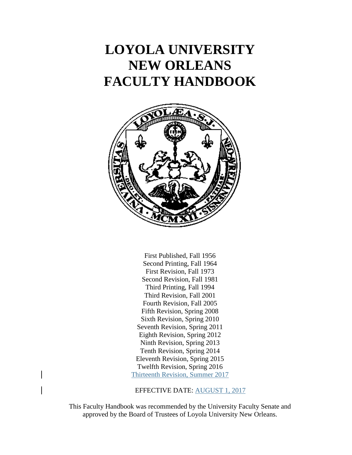# **LOYOLA UNIVERSITY NEW ORLEANS FACULTY HANDBOOK**



First Published, Fall 1956 Second Printing, Fall 1964 First Revision, Fall 1973 Second Revision, Fall 1981 Third Printing, Fall 1994 Third Revision, Fall 2001 Fourth Revision, Fall 2005 Fifth Revision, Spring 2008 Sixth Revision, Spring 2010 Seventh Revision, Spring 2011 Eighth Revision, Spring 2012 Ninth Revision, Spring 2013 Tenth Revision, Spring 2014 Eleventh Revision, Spring 2015 Twelfth Revision, Spring 2016 Thirteenth Revision, Summer 2017

EFFECTIVE DATE: AUGUST 1, 2017

This Faculty Handbook was recommended by the University Faculty Senate and approved by the Board of Trustees of Loyola University New Orleans.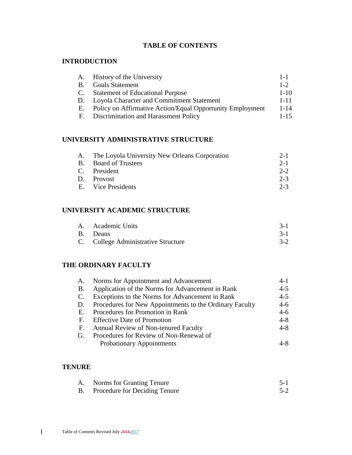# **TABLE OF CONTENTS**

## **INTRODUCTION**

| A.        | History of the University                                 | $1 - 1$  |
|-----------|-----------------------------------------------------------|----------|
| <b>B.</b> | <b>Goals Statement</b>                                    | $1 - 2$  |
| C.        | <b>Statement of Educational Purpose</b>                   | $1 - 10$ |
| D.        | Loyola Character and Commitment Statement                 | $1 - 11$ |
| E.        | Policy on Affirmative Action/Equal Opportunity Employment | $1 - 14$ |
| F.        | Discrimination and Harassment Policy                      | $1 - 15$ |

# **UNIVERSITY ADMINISTRATIVE STRUCTURE**

| A. The Loyola University New Orleans Corporation | $2 - 1$ |
|--------------------------------------------------|---------|
| B. Board of Trustees                             | $2 - 1$ |
| C. President                                     | $2 - 2$ |
| D. Provost                                       | $2 - 3$ |
| E. Vice Presidents                               | $2 - 3$ |
|                                                  |         |

# **UNIVERSITY ACADEMIC STRUCTURE**

| A. Academic Units                   |         |
|-------------------------------------|---------|
| B. Deans                            | $3 - 1$ |
| C. College Administrative Structure |         |

# **THE ORDINARY FACULTY**

| A.        | Norms for Appointment and Advancement                   | $4 - 1$ |
|-----------|---------------------------------------------------------|---------|
| <b>B.</b> | Application of the Norms for Advancement in Rank        | $4 - 5$ |
|           | C. Exceptions to the Norms for Advancement in Rank      | $4 - 5$ |
| D.        | Procedures for New Appointments to the Ordinary Faculty | $4 - 6$ |
| E.        | Procedures for Promotion in Rank                        | $4 - 6$ |
|           | F. Effective Date of Promotion                          | $4 - 8$ |
| E.        | Annual Review of Non-tenured Faculty                    | $4 - 8$ |
| G.        | Procedures for Review of Non-Renewal of                 |         |
|           | <b>Probationary Appointments</b>                        | 4-8     |

## **TENURE**

| А. | Norms for Granting Tenure        |         |
|----|----------------------------------|---------|
|    | B. Procedure for Deciding Tenure | $5 - 2$ |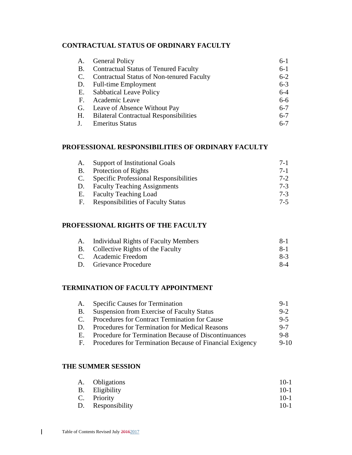## **CONTRACTUAL STATUS OF ORDINARY FACULTY**

| A.        | <b>General Policy</b>                            | $6-1$   |
|-----------|--------------------------------------------------|---------|
| <b>B.</b> | <b>Contractual Status of Tenured Faculty</b>     | $6-1$   |
| C.        | <b>Contractual Status of Non-tenured Faculty</b> | $6 - 2$ |
|           | D. Full-time Employment                          | $6 - 3$ |
|           | E. Sabbatical Leave Policy                       | $6 - 4$ |
|           | F. Academic Leave                                | $6-6$   |
|           | G. Leave of Absence Without Pay                  | $6 - 7$ |
| Н.        | <b>Bilateral Contractual Responsibilities</b>    | $6 - 7$ |
|           | <b>Emeritus Status</b>                           | $6 - 7$ |

### **PROFESSIONAL RESPONSIBILITIES OF ORDINARY FACULTY**

| A.        | Support of Institutional Goals                | $7-1$   |
|-----------|-----------------------------------------------|---------|
| <b>B.</b> | Protection of Rights                          | $7-1$   |
| C.        | <b>Specific Professional Responsibilities</b> | $7 - 2$ |
| D.        | <b>Faculty Teaching Assignments</b>           | $7-3$   |
| Е.        | <b>Faculty Teaching Load</b>                  | $7-3$   |
| F.        | <b>Responsibilities of Faculty Status</b>     | $7-5$   |

#### **PROFESSIONAL RIGHTS OF THE FACULTY**

| A. Individual Rights of Faculty Members | -8-1  |
|-----------------------------------------|-------|
| B. Collective Rights of the Faculty     | $8-1$ |
| C. Academic Freedom                     | $8-3$ |
| D. Grievance Procedure                  | $8-4$ |

#### **TERMINATION OF FACULTY APPOINTMENT**

| A.           | <b>Specific Causes for Termination</b>                   | $9-1$    |
|--------------|----------------------------------------------------------|----------|
| B.           | Suspension from Exercise of Faculty Status               | $9 - 2$  |
| $\mathbf{C}$ | Procedures for Contract Termination for Cause            | $9 - 5$  |
| D.           | Procedures for Termination for Medical Reasons           | $9 - 7$  |
| Е.           | Procedure for Termination Because of Discontinuances     | $9 - 8$  |
| Е.           | Procedures for Termination Because of Financial Exigency | $9 - 10$ |
|              |                                                          |          |

#### **THE SUMMER SESSION**

| A. Obligations    | $10-1$ |
|-------------------|--------|
| B. Eligibility    | $10-1$ |
| C. Priority       | $10-1$ |
| D. Responsibility | $10-1$ |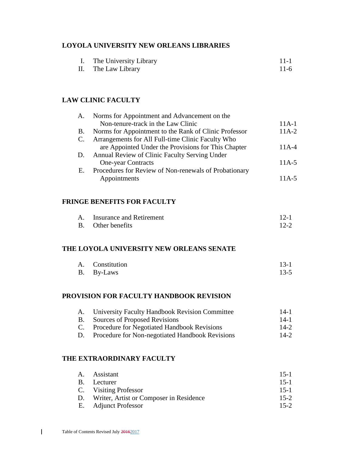#### **LOYOLA UNIVERSITY NEW ORLEANS LIBRARIES**

|    | The University Library | $11 - 1$ |
|----|------------------------|----------|
| m. |                        |          |

#### II. The Law Library 11-6

### **LAW CLINIC FACULTY**

| A.        | Norms for Appointment and Advancement on the          |           |
|-----------|-------------------------------------------------------|-----------|
|           | Non-tenure-track in the Law Clinic                    | $11A-1$   |
| <b>B.</b> | Norms for Appointment to the Rank of Clinic Professor | $11A-2$   |
| C.        | Arrangements for All Full-time Clinic Faculty Who     |           |
|           | are Appointed Under the Provisions for This Chapter   | $11A-4$   |
| D.        | <b>Annual Review of Clinic Faculty Serving Under</b>  |           |
|           | <b>One-year Contracts</b>                             | $11A-5$   |
| Е.        | Procedures for Review of Non-renewals of Probationary |           |
|           | Appointments                                          | $11A - 5$ |

#### **FRINGE BENEFITS FOR FACULTY**

| А. | Insurance and Retirement | $12-1$   |
|----|--------------------------|----------|
|    | B. Other benefits        | $12 - 2$ |

#### **THE LOYOLA UNIVERSITY NEW ORLEANS SENATE**

| A. Constitution | $13 - 1$ |
|-----------------|----------|
| B. By-Laws      | $13-5$   |

#### **PROVISION FOR FACULTY HANDBOOK REVISION**

|           | A. University Faculty Handbook Revision Committee | $14-1$ |
|-----------|---------------------------------------------------|--------|
| <b>B.</b> | Sources of Proposed Revisions                     | $14-1$ |
|           | C. Procedure for Negotiated Handbook Revisions    | $14-2$ |
| D.        | Procedure for Non-negotiated Handbook Revisions   | $14-2$ |

#### **THE EXTRAORDINARY FACULTY**

| A. Assistant                               | $15-1$ |
|--------------------------------------------|--------|
| B. Lecturer                                | $15-1$ |
| C. Visiting Professor                      | $15-1$ |
| D. Writer, Artist or Composer in Residence | $15-2$ |
| E. Adjunct Professor                       | $15-2$ |